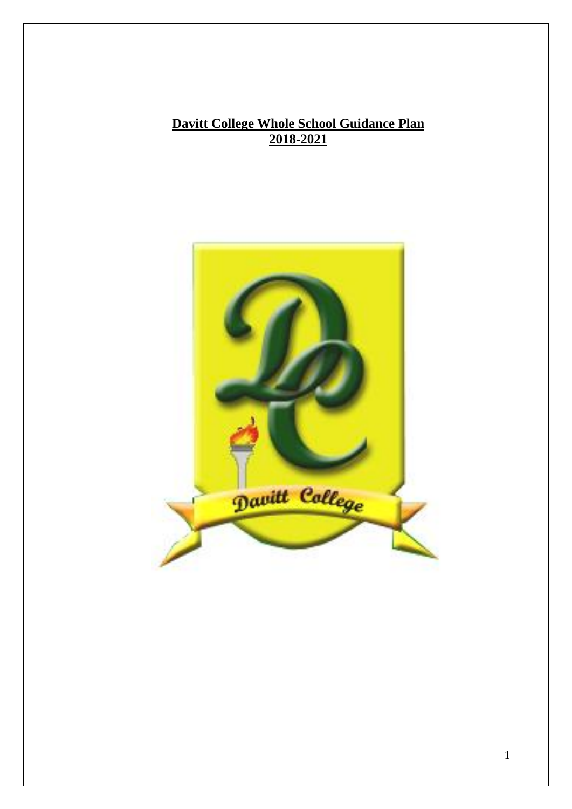# **Davitt College Whole School Guidance Plan 2018-2021**

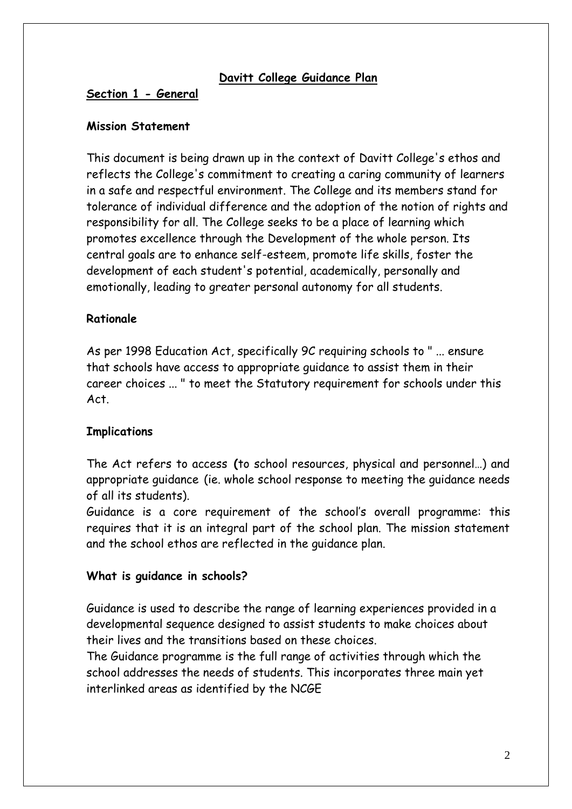### **Davitt College Guidance Plan**

#### **Section 1 - General**

#### **Mission Statement**

This document is being drawn up in the context of Davitt College's ethos and reflects the College's commitment to creating a caring community of learners in a safe and respectful environment. The College and its members stand for tolerance of individual difference and the adoption of the notion of rights and responsibility for all. The College seeks to be a place of learning which promotes excellence through the Development of the whole person. Its central goals are to enhance self-esteem, promote life skills, foster the development of each student's potential, academically, personally and emotionally, leading to greater personal autonomy for all students.

### **Rationale**

As per 1998 Education Act, specifically 9C requiring schools to " ... ensure that schools have access to appropriate guidance to assist them in their career choices ... " to meet the Statutory requirement for schools under this Act.

### **Implications**

The Act refers to access **(**to school resources, physical and personnel…) and appropriate guidance (ie. whole school response to meeting the guidance needs of all its students).

Guidance is a core requirement of the school's overall programme: this requires that it is an integral part of the school plan. The mission statement and the school ethos are reflected in the guidance plan.

#### **What is guidance in schools?**

Guidance is used to describe the range of learning experiences provided in a developmental sequence designed to assist students to make choices about their lives and the transitions based on these choices.

The Guidance programme is the full range of activities through which the school addresses the needs of students. This incorporates three main yet interlinked areas as identified by the NCGE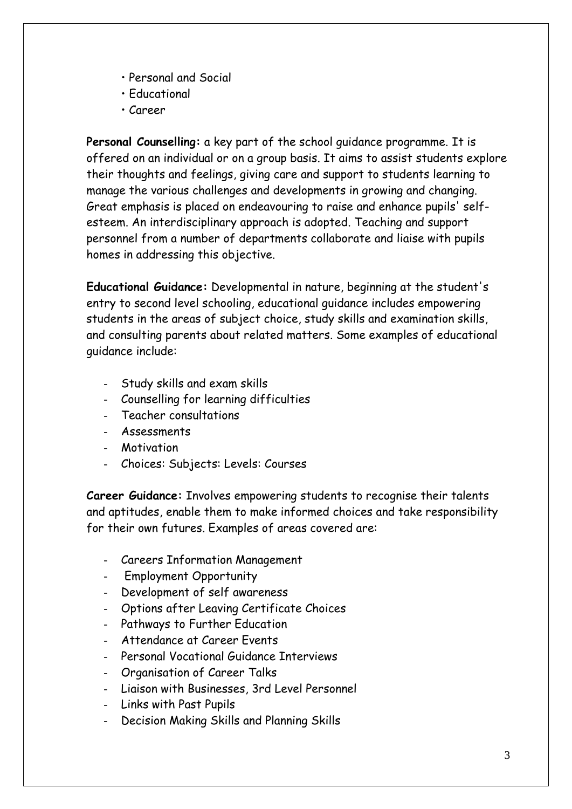- Personal and Social
- Educational
- Career

**Personal Counselling:** a key part of the school guidance programme. It is offered on an individual or on a group basis. It aims to assist students explore their thoughts and feelings, giving care and support to students learning to manage the various challenges and developments in growing and changing. Great emphasis is placed on endeavouring to raise and enhance pupils' selfesteem. An interdisciplinary approach is adopted. Teaching and support personnel from a number of departments collaborate and liaise with pupils homes in addressing this objective.

**Educational Guidance:** Developmental in nature, beginning at the student's entry to second level schooling, educational guidance includes empowering students in the areas of subject choice, study skills and examination skills, and consulting parents about related matters. Some examples of educational guidance include:

- Study skills and exam skills
- Counselling for learning difficulties
- Teacher consultations
- **Assessments**
- **Motivation**
- Choices: Subjects: Levels: Courses

**Career Guidance:** Involves empowering students to recognise their talents and aptitudes, enable them to make informed choices and take responsibility for their own futures. Examples of areas covered are:

- Careers Information Management
- Employment Opportunity
- Development of self awareness
- Options after Leaving Certificate Choices
- Pathways to Further Education
- Attendance at Career Events
- Personal Vocational Guidance Interviews
- Organisation of Career Talks
- Liaison with Businesses, 3rd Level Personnel
- Links with Past Pupils
- Decision Making Skills and Planning Skills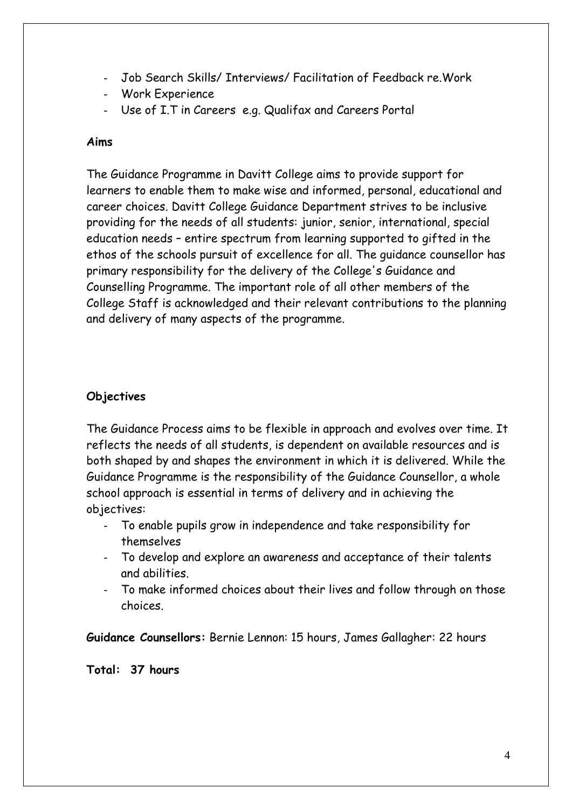- Job Search Skills/ Interviews/ Facilitation of Feedback re.Work
- Work Experience
- Use of I.T in Careers e.g. Qualifax and Careers Portal

### **Aims**

The Guidance Programme in Davitt College aims to provide support for learners to enable them to make wise and informed, personal, educational and career choices. Davitt College Guidance Department strives to be inclusive providing for the needs of all students: junior, senior, international, special education needs – entire spectrum from learning supported to gifted in the ethos of the schools pursuit of excellence for all. The guidance counsellor has primary responsibility for the delivery of the College's Guidance and Counselling Programme. The important role of all other members of the College Staff is acknowledged and their relevant contributions to the planning and delivery of many aspects of the programme.

## **Objectives**

The Guidance Process aims to be flexible in approach and evolves over time. It reflects the needs of all students, is dependent on available resources and is both shaped by and shapes the environment in which it is delivered. While the Guidance Programme is the responsibility of the Guidance Counsellor, a whole school approach is essential in terms of delivery and in achieving the objectives:

- To enable pupils grow in independence and take responsibility for themselves
- To develop and explore an awareness and acceptance of their talents and abilities.
- To make informed choices about their lives and follow through on those choices.

**Guidance Counsellors:** Bernie Lennon: 15 hours, James Gallagher: 22 hours

**Total: 37 hours**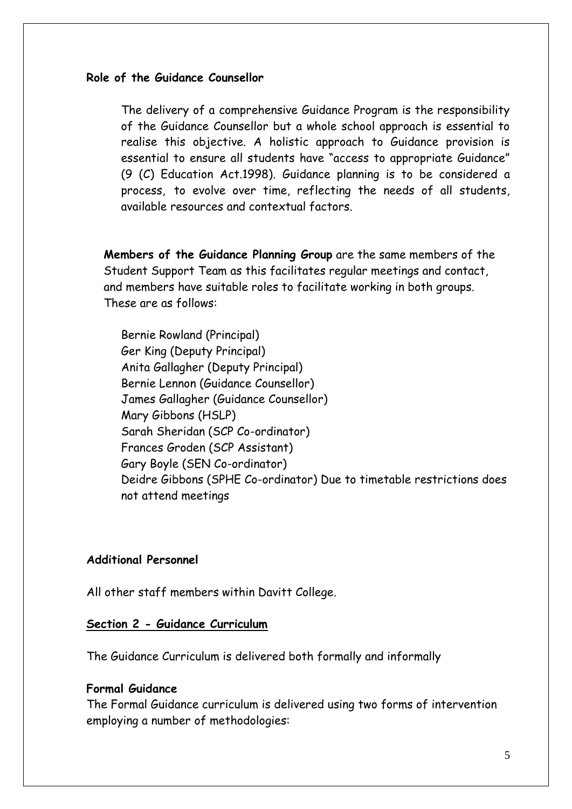#### **Role of the Guidance Counsellor**

The delivery of a comprehensive Guidance Program is the responsibility of the Guidance Counsellor but a whole school approach is essential to realise this objective. A holistic approach to Guidance provision is essential to ensure all students have "access to appropriate Guidance" (9 (C) Education Act.1998). Guidance planning is to be considered a process, to evolve over time, reflecting the needs of all students, available resources and contextual factors.

**Members of the Guidance Planning Group** are the same members of the Student Support Team as this facilitates regular meetings and contact, and members have suitable roles to facilitate working in both groups. These are as follows:

Bernie Rowland (Principal) Ger King (Deputy Principal) Anita Gallagher (Deputy Principal) Bernie Lennon (Guidance Counsellor) James Gallagher (Guidance Counsellor) Mary Gibbons (HSLP) Sarah Sheridan (SCP Co-ordinator) Frances Groden (SCP Assistant) Gary Boyle (SEN Co-ordinator) Deidre Gibbons (SPHE Co-ordinator) Due to timetable restrictions does not attend meetings

#### **Additional Personnel**

All other staff members within Davitt College.

#### **Section 2 - Guidance Curriculum**

The Guidance Curriculum is delivered both formally and informally

### **Formal Guidance**

The Formal Guidance curriculum is delivered using two forms of intervention employing a number of methodologies: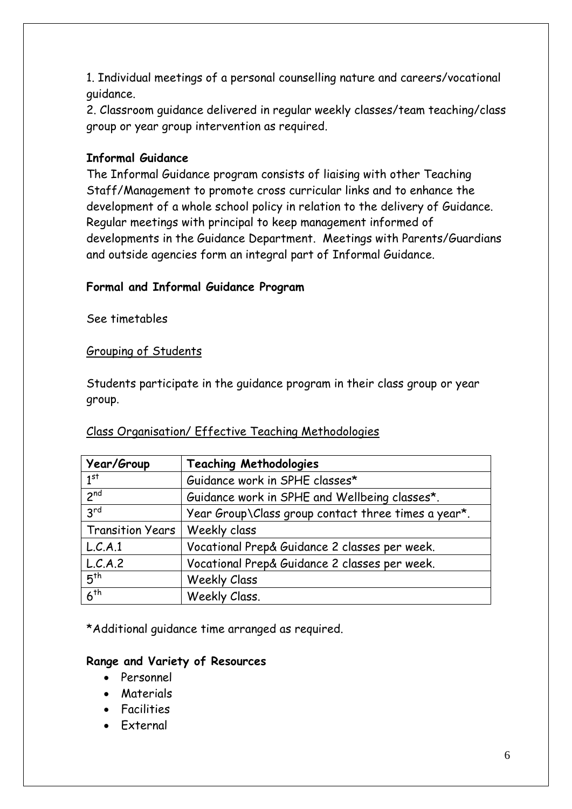1. Individual meetings of a personal counselling nature and careers/vocational guidance.

2. Classroom guidance delivered in regular weekly classes/team teaching/class group or year group intervention as required.

### **Informal Guidance**

The Informal Guidance program consists of liaising with other Teaching Staff/Management to promote cross curricular links and to enhance the development of a whole school policy in relation to the delivery of Guidance. Regular meetings with principal to keep management informed of developments in the Guidance Department. Meetings with Parents/Guardians and outside agencies form an integral part of Informal Guidance.

### **Formal and Informal Guidance Program**

See timetables

### Grouping of Students

Students participate in the guidance program in their class group or year group.

### Class Organisation/ Effective Teaching Methodologies

| Year/Group                      | <b>Teaching Methodologies</b>                       |  |
|---------------------------------|-----------------------------------------------------|--|
| 1 <sup>st</sup>                 | Guidance work in SPHE classes*                      |  |
| 2 <sub>nd</sub>                 | Guidance work in SPHE and Wellbeing classes*.       |  |
| 3 <sup>rd</sup>                 | Year Group\Class group contact three times a year*. |  |
| Transition Years   Weekly class |                                                     |  |
| L.C.A.1                         | Vocational Prep& Guidance 2 classes per week.       |  |
| L.C.A.2                         | Vocational Prep& Guidance 2 classes per week.       |  |
| 5 <sup>th</sup>                 | <b>Weekly Class</b>                                 |  |
| 6 <sup>th</sup>                 | Weekly Class.                                       |  |

\*Additional guidance time arranged as required.

### **Range and Variety of Resources**

- Personnel
- **Materials**
- Facilities
- External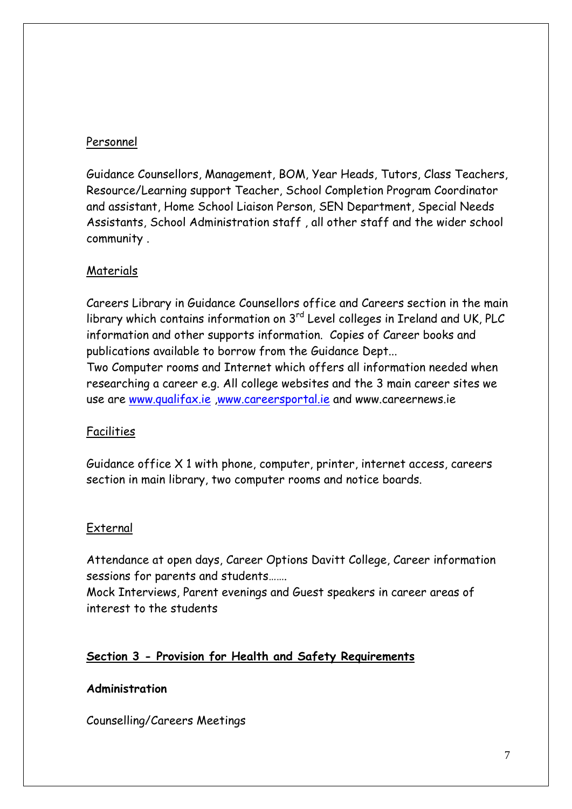# Personnel

Guidance Counsellors, Management, BOM, Year Heads, Tutors, Class Teachers, Resource/Learning support Teacher, School Completion Program Coordinator and assistant, Home School Liaison Person, SEN Department, Special Needs Assistants, School Administration staff , all other staff and the wider school community .

## Materials

Careers Library in Guidance Counsellors office and Careers section in the main library which contains information on 3<sup>rd</sup> Level colleges in Ireland and UK, PLC information and other supports information. Copies of Career books and publications available to borrow from the Guidance Dept... Two Computer rooms and Internet which offers all information needed when

researching a career e.g. All college websites and the 3 main career sites we use are [www.qualifax.ie](http://www.qualifax.ie/) [,www.careersportal.ie](http://www.careersportal.ie/) and www.careernews.ie

# Facilities

Guidance office X 1 with phone, computer, printer, internet access, careers section in main library, two computer rooms and notice boards.

## External

Attendance at open days, Career Options Davitt College, Career information sessions for parents and students…….

Mock Interviews, Parent evenings and Guest speakers in career areas of interest to the students

# **Section 3 - Provision for Health and Safety Requirements**

## **Administration**

Counselling/Careers Meetings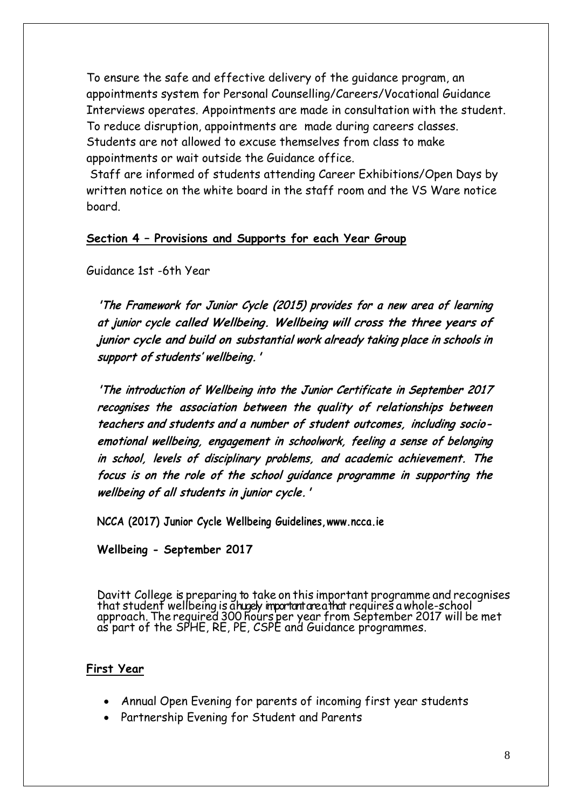To ensure the safe and effective delivery of the guidance program, an appointments system for Personal Counselling/Careers/Vocational Guidance Interviews operates. Appointments are made in consultation with the student. To reduce disruption, appointments are made during careers classes. Students are not allowed to excuse themselves from class to make appointments or wait outside the Guidance office.

Staff are informed of students attending Career Exhibitions/Open Days by written notice on the white board in the staff room and the VS Ware notice board.

### **Section 4 – Provisions and Supports for each Year Group**

Guidance 1st -6th Year

**'The Framework for Junior Cycle (2015) provides for <sup>a</sup> new area of learning at junior cycle called Wellbeing. Wellbeing will cross the three years of junior cycle and build on substantial work already taking place in schools in support of students' wellbeing.'**

**'The introduction of Wellbeing into the Junior Certificate in September 2017 recognises the association between the quality of relationships between teachers and students and a number of student outcomes, including socioemotional wellbeing, engagement in schoolwork, feeling a sense of belonging in school, levels of disciplinary problems, and academic achievement. The focus is on the role of the school guidance programme in supporting the wellbeing of all students in junior cycle.'**

**NCCA (2017) Junior Cycle Wellbeing Guidelines[,www.ncca.ie](http://www.ncca.ie/)**

**Wellbeing - September 2017**

Davitt College is preparing to take on this important programme and recognises that student wellbeing is ahugely important area that requires a whole-school approach. The required 300 hours per year from September 2017 will be met as part of the SPHE, RE, PE, CSPE and Guidance programmes.

### **First Year**

- Annual Open Evening for parents of incoming first year students
- Partnership Evening for Student and Parents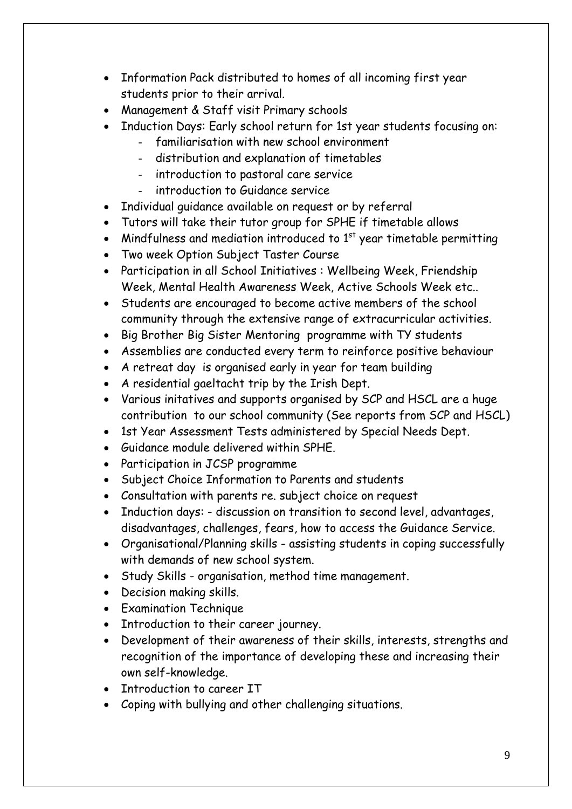- Information Pack distributed to homes of all incoming first year students prior to their arrival.
- Management & Staff visit Primary schools
- Induction Days: Early school return for 1st year students focusing on:
	- familiarisation with new school environment
	- distribution and explanation of timetables
	- introduction to pastoral care service
	- introduction to Guidance service
- Individual quidance available on request or by referral
- Tutors will take their tutor group for SPHE if timetable allows
- Mindfulness and mediation introduced to  $1<sup>st</sup>$  year timetable permitting
- Two week Option Subject Taster Course
- Participation in all School Initiatives : Wellbeing Week, Friendship Week, Mental Health Awareness Week, Active Schools Week etc..
- Students are encouraged to become active members of the school community through the extensive range of extracurricular activities.
- Big Brother Big Sister Mentoring programme with TY students
- Assemblies are conducted every term to reinforce positive behaviour
- A retreat day is organised early in year for team building
- A residential gaeltacht trip by the Irish Dept.
- Various initatives and supports organised by SCP and HSCL are a huge contribution to our school community (See reports from SCP and HSCL)
- 1st Year Assessment Tests administered by Special Needs Dept.
- Guidance module delivered within SPHE.
- Participation in JCSP programme
- Subject Choice Information to Parents and students
- Consultation with parents re. subject choice on request
- Induction days: discussion on transition to second level, advantages, disadvantages, challenges, fears, how to access the Guidance Service.
- Organisational/Planning skills assisting students in coping successfully with demands of new school system.
- Study Skills organisation, method time management.
- Decision making skills.
- Examination Technique
- Introduction to their career journey.
- Development of their awareness of their skills, interests, strengths and recognition of the importance of developing these and increasing their own self-knowledge.
- Introduction to career IT
- Coping with bullying and other challenging situations.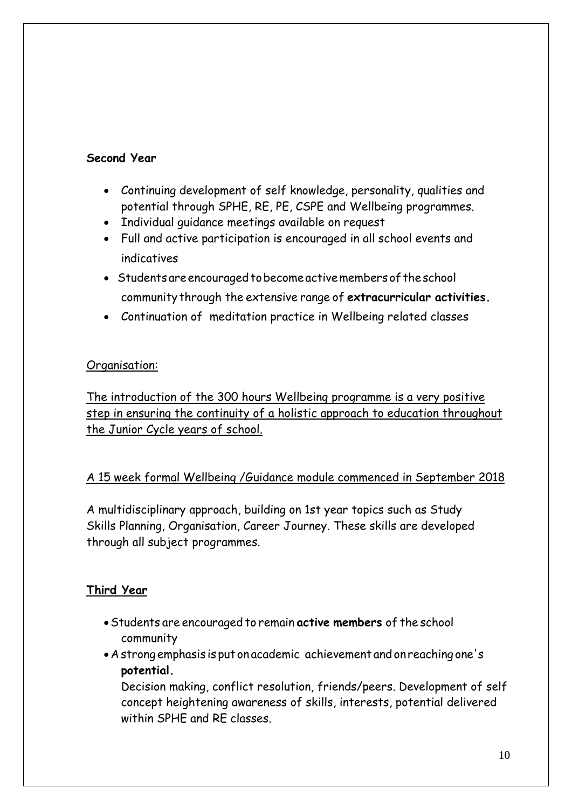# **Second Year**

- Continuing development of self knowledge, personality, qualities and potential through SPHE, RE, PE, CSPE and Wellbeing programmes.
- Individual quidance meetings available on request
- Full and active participation is encouraged in all school events and indicatives
- Students are encouraged to become active members of the school community through the extensive range of **extracurricular activities.**
- Continuation of meditation practice in Wellbeing related classes

# Organisation:

The introduction of the 300 hours Wellbeing programme is a very positive step in ensuring the continuity of a holistic approach to education throughout the Junior Cycle years of school.

# A 15 week formal Wellbeing /Guidance module commenced in September 2018

A multidisciplinary approach, building on 1st year topics such as Study Skills Planning, Organisation, Career Journey. These skills are developed through all subject programmes.

## **Third Year**

- Students are encouraged to remain **active members** of the school community
- A strong emphasis is put on academic achievement and on reaching one's **potential.**

Decision making, conflict resolution, friends/peers. Development of self concept heightening awareness of skills, interests, potential delivered within SPHE and RE classes.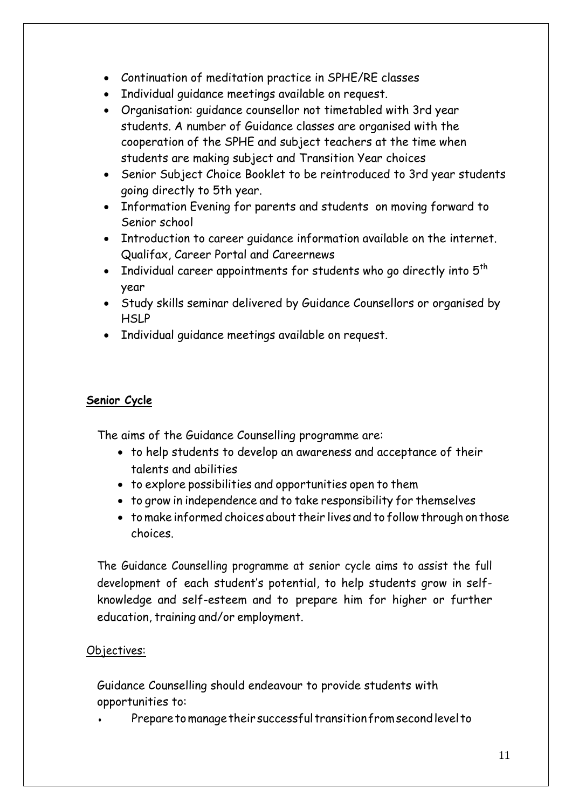- Continuation of meditation practice in SPHE/RE classes
- Individual quidance meetings available on request.
- Organisation: guidance counsellor not timetabled with 3rd year students. A number of Guidance classes are organised with the cooperation of the SPHE and subject teachers at the time when students are making subject and Transition Year choices
- Senior Subject Choice Booklet to be reintroduced to 3rd year students going directly to 5th year.
- Information Evening for parents and students on moving forward to Senior school
- Introduction to career guidance information available on the internet. Qualifax, Career Portal and Careernews
- Individual career appointments for students who go directly into  $5<sup>th</sup>$ year
- Study skills seminar delivered by Guidance Counsellors or organised by **HSLP**
- Individual quidance meetings available on request.

## **Senior Cycle**

The aims of the Guidance Counselling programme are:

- to help students to develop an awareness and acceptance of their talents and abilities
- to explore possibilities and opportunities open to them
- to grow in independence and to take responsibility for themselves
- to make informed choices about their lives and to follow through on those choices.

The Guidance Counselling programme at senior cycle aims to assist the full development of each student's potential, to help students grow in selfknowledge and self-esteem and to prepare him for higher or further education, training and/or employment.

# Objectives:

Guidance Counselling should endeavour to provide students with opportunities to:

Prepare to manage their successful transition from second level to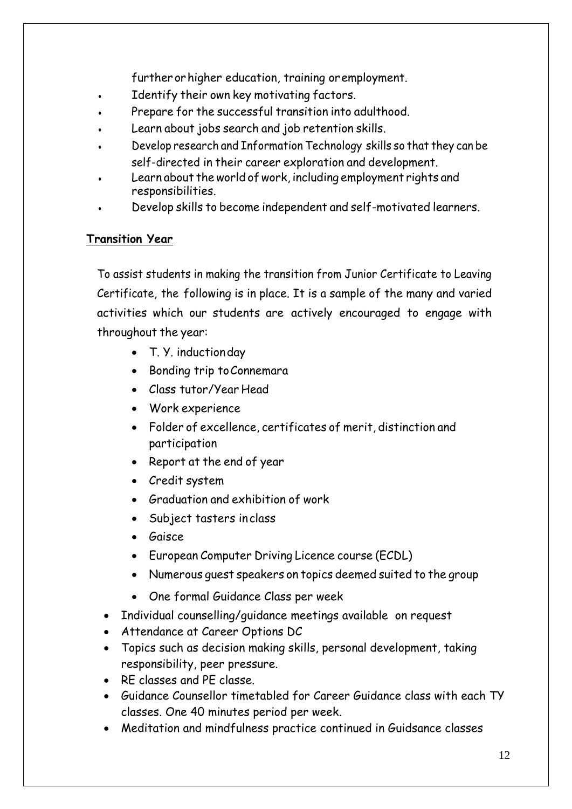further orhigher education, training oremployment.

- Identify their own key motivating factors.
- Prepare for the successful transition into adulthood.
- Learn about jobs search and job retention skills.
- Develop research and Information Technology skills so that they can be self-directed in their career exploration and development.
- Learn about the world of work, including employment rights and responsibilities.
- Develop skills to become independent and self-motivated learners.

### **Transition Year**

To assist students in making the transition from Junior Certificate to Leaving Certificate, the following is in place. It is a sample of the many and varied activities which our students are actively encouraged to engage with throughout the year:

- T. Y. induction day
- Bonding trip to Connemara
- Class tutor/Year Head
- Work experience
- Folder of excellence, certificates of merit, distinction and participation
- Report at the end of year
- Credit system
- Graduation and exhibition of work
- Subject tasters inclass
- Gaisce
- European Computer Driving Licence course (ECDL)
- Numerous guest speakers on topics deemed suited to the group
- One formal Guidance Class per week
- Individual counselling/guidance meetings available on request
- Attendance at Career Options DC
- Topics such as decision making skills, personal development, taking responsibility, peer pressure.
- RE classes and PE classe.
- Guidance Counsellor timetabled for Career Guidance class with each TY classes. One 40 minutes period per week.
- Meditation and mindfulness practice continued in Guidsance classes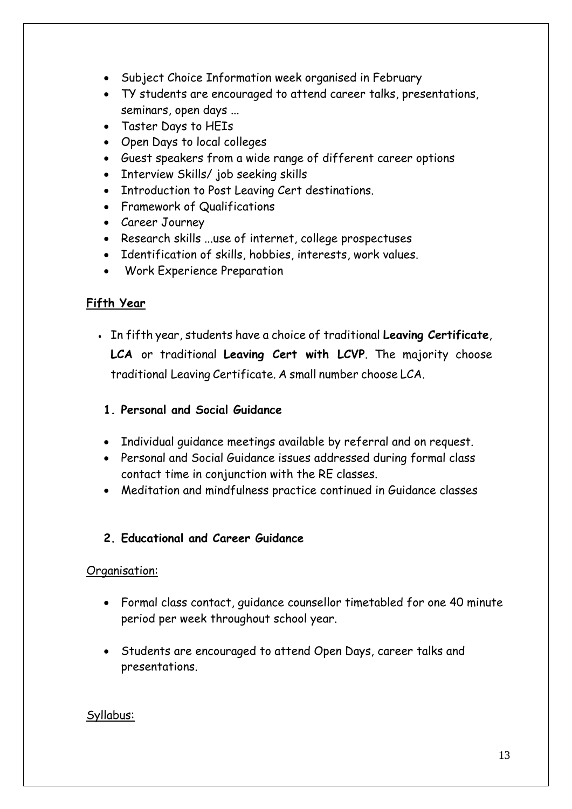- Subject Choice Information week organised in February
- TY students are encouraged to attend career talks, presentations, seminars, open days ...
- Taster Days to HEIs
- Open Days to local colleges
- Guest speakers from a wide range of different career options
- Interview Skills/ job seeking skills
- Introduction to Post Leaving Cert destinations.
- Framework of Qualifications
- Career Journey
- Research skills ...use of internet, college prospectuses
- Identification of skills, hobbies, interests, work values.
- Work Experience Preparation

# **Fifth Year**

● In fifth year, students have a choice of traditional **Leaving Certificate**, **LCA** or traditional **Leaving Cert with LCVP**. The majority choose traditional Leaving Certificate. A small number choose LCA.

## **1. Personal and Social Guidance**

- Individual guidance meetings available by referral and on request.
- Personal and Social Guidance issues addressed during formal class contact time in conjunction with the RE classes.
- Meditation and mindfulness practice continued in Guidance classes

## **2. Educational and Career Guidance**

### Organisation:

- Formal class contact, guidance counsellor timetabled for one 40 minute period per week throughout school year.
- Students are encouraged to attend Open Days, career talks and presentations.

### Syllabus: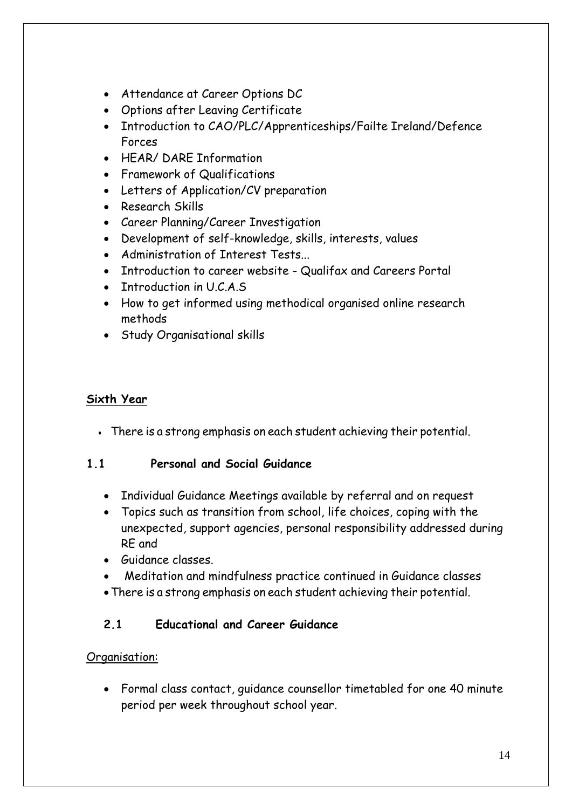- Attendance at Career Options DC
- Options after Leaving Certificate
- Introduction to CAO/PLC/Apprenticeships/Failte Ireland/Defence Forces
- HEAR/ DARE Information
- Framework of Qualifications
- Letters of Application/CV preparation
- Research Skills
- Career Planning/Career Investigation
- Development of self-knowledge, skills, interests, values
- Administration of Interest Tests...
- Introduction to career website Qualifax and Careers Portal
- Introduction in U.C.A.S
- How to get informed using methodical organised online research methods
- Study Organisational skills

# **Sixth Year**

• There is a strong emphasis on each student achieving their potential.

## **1.1 Personal and Social Guidance**

- Individual Guidance Meetings available by referral and on request
- Topics such as transition from school, life choices, coping with the unexpected, support agencies, personal responsibility addressed during RE and
- Guidance classes.
- Meditation and mindfulness practice continued in Guidance classes
- There is a strong emphasis on each student achieving their potential.

# **2.1 Educational and Career Guidance**

## Organisation:

 Formal class contact, guidance counsellor timetabled for one 40 minute period per week throughout school year.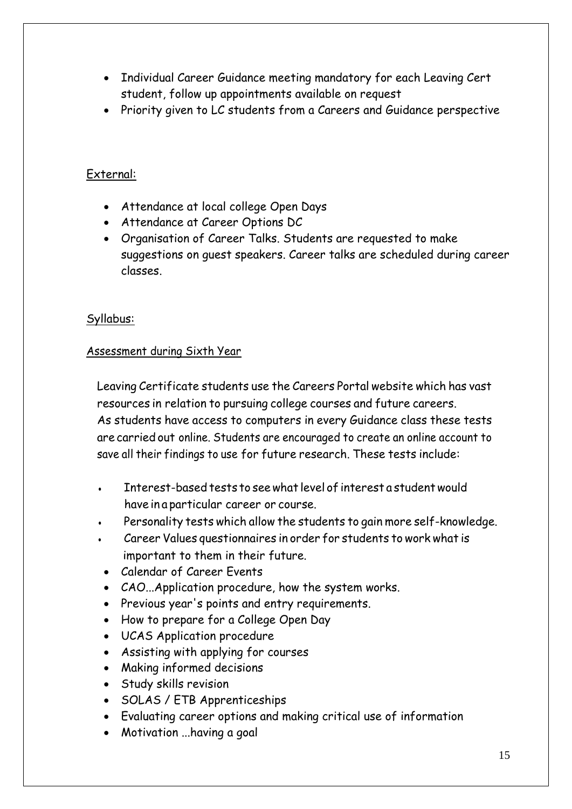- Individual Career Guidance meeting mandatory for each Leaving Cert student, follow up appointments available on request
- Priority given to LC students from a Careers and Guidance perspective

## External:

- Attendance at local college Open Days
- Attendance at Career Options DC
- Organisation of Career Talks. Students are requested to make suggestions on guest speakers. Career talks are scheduled during career classes.

### Syllabus:

### Assessment during Sixth Year

Leaving Certificate students use the Careers Portal website which has vast resources in relation to pursuing college courses and future careers. As students have access to computers in every Guidance class these tests are carried out online. Students are encouraged to create an online account to save all their findings to use for future research. These tests include:

- Interest-based tests to see what level of interest a student would have in a particular career or course.
- Personality tests which allow the students to gain more self-knowledge.
- Career Values questionnaires in order for students to work what is important to them in their future.
- Calendar of Career Events
- CAO...Application procedure, how the system works.
- Previous year's points and entry requirements.
- How to prepare for a College Open Day
- UCAS Application procedure
- Assisting with applying for courses
- Making informed decisions
- Study skills revision
- SOLAS / ETB Apprenticeships
- Evaluating career options and making critical use of information
- Motivation ...having a goal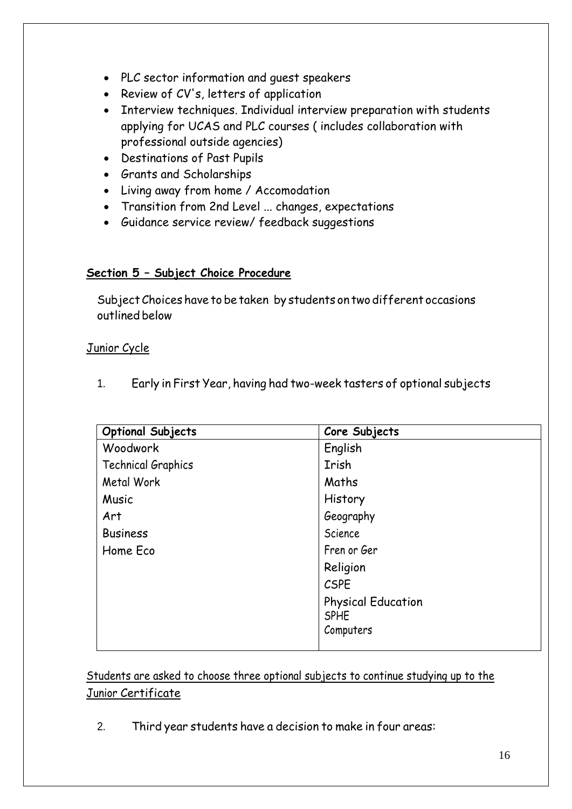- PLC sector information and guest speakers
- Review of CV's, letters of application
- Interview techniques. Individual interview preparation with students applying for UCAS and PLC courses ( includes collaboration with professional outside agencies)
- Destinations of Past Pupils
- Grants and Scholarships
- Living away from home / Accomodation
- Transition from 2nd Level ... changes, expectations
- Guidance service review/ feedback suggestions

### **Section 5 – Subject Choice Procedure**

Subject Choices have to be taken by students on two different occasions outlined below

### Junior Cycle

1. Early in First Year, having had two-week tasters of optional subjects

| <b>Optional Subjects</b> | Core Subjects             |
|--------------------------|---------------------------|
| Woodwork                 | English                   |
| Technical Graphics       | Irish                     |
| Metal Work               | Maths                     |
| Music                    | History                   |
| Art                      | Geography                 |
| <b>Business</b>          | Science                   |
| Home Eco                 | Fren or Ger               |
|                          | Religion                  |
|                          | <b>CSPE</b>               |
|                          | <b>Physical Education</b> |
|                          | <b>SPHE</b>               |
|                          | Computers                 |
|                          |                           |

Students are asked to choose three optional subjects to continue studying up to the Junior Certificate

2. Third year students have a decision to make in four areas: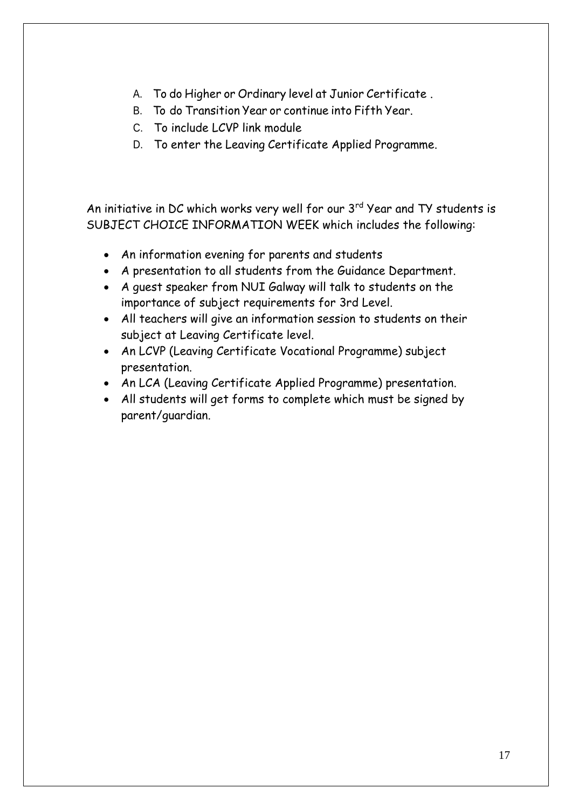- A. To do Higher or Ordinary level at Junior Certificate .
- B. To do Transition Year or continue into Fifth Year.
- C. To include LCVP link module
- D. To enter the Leaving Certificate Applied Programme.

An initiative in DC which works very well for our 3rd Year and TY students is SUBJECT CHOICE INFORMATION WEEK which includes the following:

- An information evening for parents and students
- A presentation to all students from the Guidance Department.
- A guest speaker from NUI Galway will talk to students on the importance of subject requirements for 3rd Level.
- All teachers will give an information session to students on their subject at Leaving Certificate level.
- An LCVP (Leaving Certificate Vocational Programme) subject presentation.
- An LCA (Leaving Certificate Applied Programme) presentation.
- All students will get forms to complete which must be signed by parent/guardian.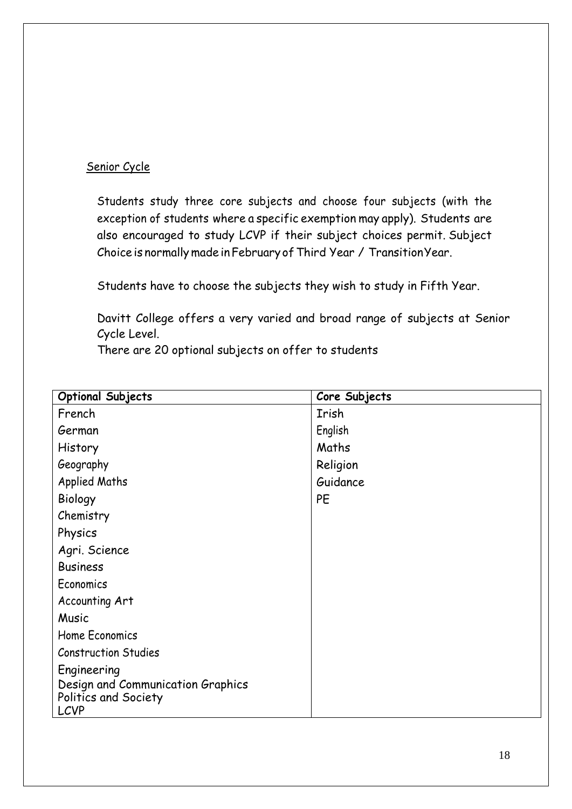## Senior Cycle

Students study three core subjects and choose four subjects (with the exception of students where a specific exemption may apply). Students are also encouraged to study LCVP if their subject choices permit. Subject Choice is normally made in February of Third Year / Transition Year.

Students have to choose the subjects they wish to study in Fifth Year.

Davitt College offers a very varied and broad range of subjects at Senior Cycle Level.

There are 20 optional subjects on offer to students

| <b>Optional Subjects</b>                                                 | Core Subjects |
|--------------------------------------------------------------------------|---------------|
| French                                                                   | Irish         |
| German                                                                   | English       |
| History                                                                  | Maths         |
| Geography                                                                | Religion      |
| <b>Applied Maths</b>                                                     | Guidance      |
| Biology                                                                  | PE            |
| Chemistry                                                                |               |
| Physics                                                                  |               |
| Agri. Science                                                            |               |
| <b>Business</b>                                                          |               |
| Economics                                                                |               |
| Accounting Art                                                           |               |
| Music                                                                    |               |
| Home Economics                                                           |               |
| <b>Construction Studies</b>                                              |               |
| Engineering                                                              |               |
| Design and Communication Graphics<br>Politics and Society<br><b>LCVP</b> |               |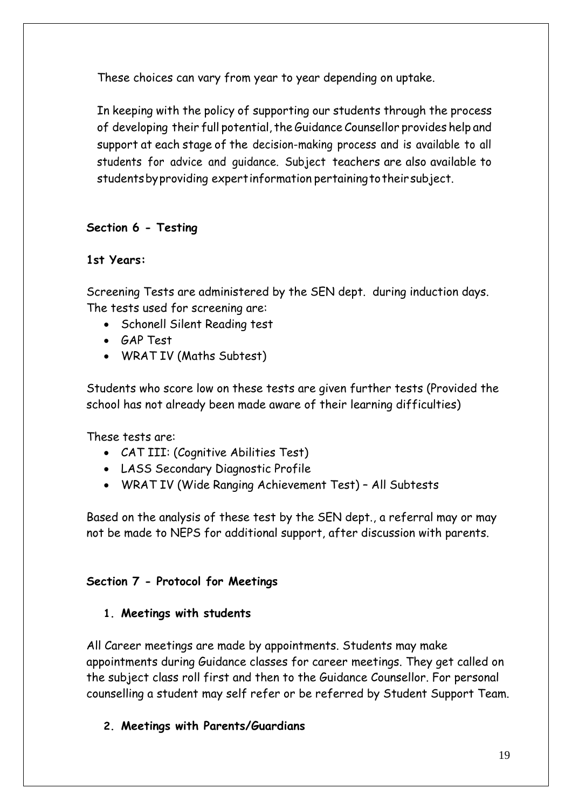These choices can vary from year to year depending on uptake.

In keeping with the policy of supporting our students through the process of developing their full potential, the Guidance Counsellor provides help and support at each stage of the decision-making process and is available to all students for advice and guidance. Subject teachers are also available to students by providing expert information pertaining to their subject.

# **Section 6 - Testing**

## **1st Years:**

Screening Tests are administered by the SEN dept. during induction days. The tests used for screening are:

- Schonell Silent Reading test
- GAP Test
- WRAT IV (Maths Subtest)

Students who score low on these tests are given further tests (Provided the school has not already been made aware of their learning difficulties)

These tests are:

- CAT III: (Cognitive Abilities Test)
- LASS Secondary Diagnostic Profile
- WRAT IV (Wide Ranging Achievement Test) All Subtests

Based on the analysis of these test by the SEN dept., a referral may or may not be made to NEPS for additional support, after discussion with parents.

## **Section 7 - Protocol for Meetings**

## **1. Meetings with students**

All Career meetings are made by appointments. Students may make appointments during Guidance classes for career meetings. They get called on the subject class roll first and then to the Guidance Counsellor. For personal counselling a student may self refer or be referred by Student Support Team.

## **2. Meetings with Parents/Guardians**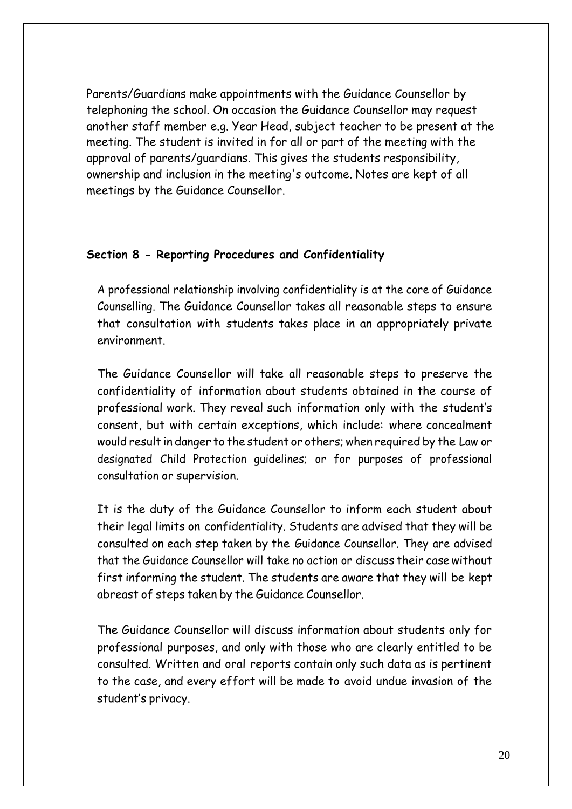Parents/Guardians make appointments with the Guidance Counsellor by telephoning the school. On occasion the Guidance Counsellor may request another staff member e.g. Year Head, subject teacher to be present at the meeting. The student is invited in for all or part of the meeting with the approval of parents/guardians. This gives the students responsibility, ownership and inclusion in the meeting's outcome. Notes are kept of all meetings by the Guidance Counsellor.

### **Section 8 - Reporting Procedures and Confidentiality**

A professional relationship involving confidentiality is at the core of Guidance Counselling. The Guidance Counsellor takes all reasonable steps to ensure that consultation with students takes place in an appropriately private environment.

The Guidance Counsellor will take all reasonable steps to preserve the confidentiality of information about students obtained in the course of professional work. They reveal such information only with the student's consent, but with certain exceptions, which include: where concealment would result in danger to the student or others; when required by the Law or designated Child Protection guidelines; or for purposes of professional consultation or supervision.

It is the duty of the Guidance Counsellor to inform each student about their legal limits on confidentiality. Students are advised that they will be consulted on each step taken by the Guidance Counsellor. They are advised that the Guidance Counsellor will take no action or discuss their case without first informing the student. The students are aware that they will be kept abreast of steps taken by the Guidance Counsellor.

The Guidance Counsellor will discuss information about students only for professional purposes, and only with those who are clearly entitled to be consulted. Written and oral reports contain only such data as is pertinent to the case, and every effort will be made to avoid undue invasion of the student's privacy.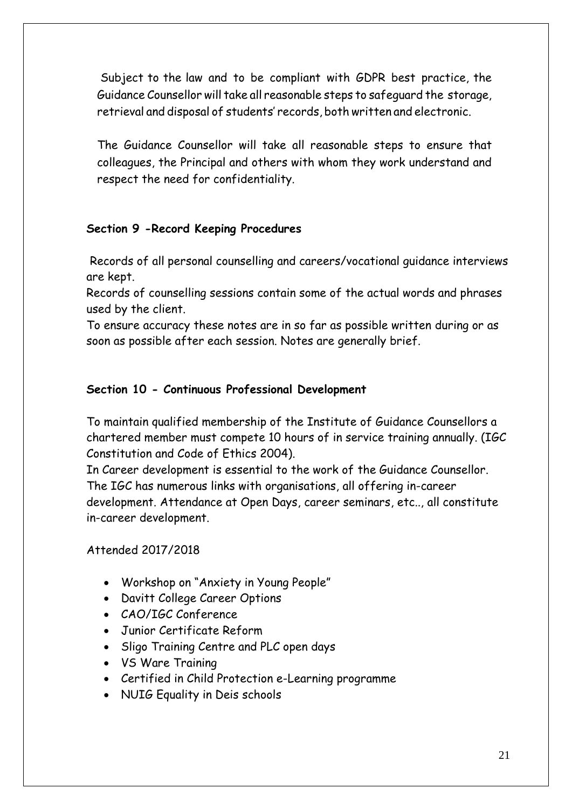Subject to the law and to be compliant with GDPR best practice, the Guidance Counsellor will take all reasonable steps to safeguard the storage, retrieval and disposal of students' records, both written and electronic.

The Guidance Counsellor will take all reasonable steps to ensure that colleagues, the Principal and others with whom they work understand and respect the need for confidentiality.

## **Section 9 -Record Keeping Procedures**

Records of all personal counselling and careers/vocational guidance interviews are kept.

Records of counselling sessions contain some of the actual words and phrases used by the client.

To ensure accuracy these notes are in so far as possible written during or as soon as possible after each session. Notes are generally brief.

## **Section 10 - Continuous Professional Development**

To maintain qualified membership of the Institute of Guidance Counsellors a chartered member must compete 10 hours of in service training annually. (IGC Constitution and Code of Ethics 2004).

In Career development is essential to the work of the Guidance Counsellor. The IGC has numerous links with organisations, all offering in-career development. Attendance at Open Days, career seminars, etc.., all constitute in-career development.

## Attended 2017/2018

- Workshop on "Anxiety in Young People"
- Davitt College Career Options
- CAO/IGC Conference
- Junior Certificate Reform
- Sligo Training Centre and PLC open days
- VS Ware Training
- Certified in Child Protection e-Learning programme
- NUIG Equality in Deis schools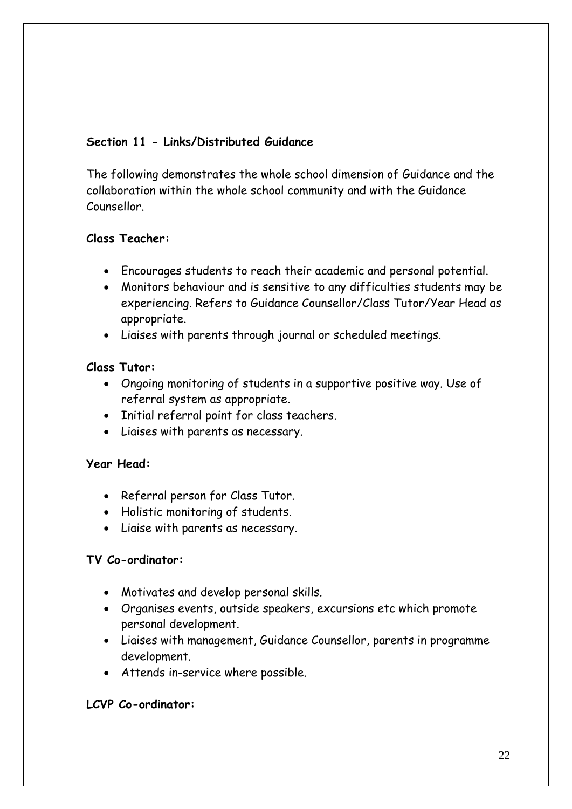# **Section 11 - Links/Distributed Guidance**

The following demonstrates the whole school dimension of Guidance and the collaboration within the whole school community and with the Guidance Counsellor.

# **Class Teacher:**

- Encourages students to reach their academic and personal potential.
- Monitors behaviour and is sensitive to any difficulties students may be experiencing. Refers to Guidance Counsellor/Class Tutor/Year Head as appropriate.
- Liaises with parents through journal or scheduled meetings.

# **Class Tutor:**

- Ongoing monitoring of students in a supportive positive way. Use of referral system as appropriate.
- Initial referral point for class teachers.
- Liaises with parents as necessary.

## **Year Head:**

- Referral person for Class Tutor.
- Holistic monitoring of students.
- Liaise with parents as necessary.

## **TV Co-ordinator:**

- Motivates and develop personal skills.
- Organises events, outside speakers, excursions etc which promote personal development.
- Liaises with management, Guidance Counsellor, parents in programme development.
- Attends in-service where possible.

# **LCVP Co-ordinator:**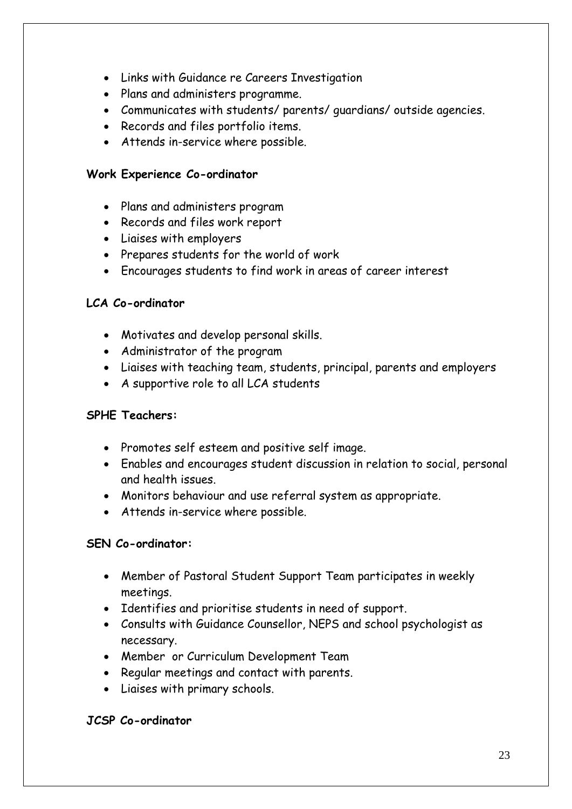- Links with Guidance re Careers Investigation
- Plans and administers programme.
- Communicates with students/ parents/ guardians/ outside agencies.
- Records and files portfolio items.
- Attends in-service where possible.

#### **Work Experience Co-ordinator**

- Plans and administers program
- Records and files work report
- Liaises with employers
- Prepares students for the world of work
- Encourages students to find work in areas of career interest

### **LCA Co-ordinator**

- Motivates and develop personal skills.
- Administrator of the program
- Liaises with teaching team, students, principal, parents and employers
- A supportive role to all LCA students

### **SPHE Teachers:**

- Promotes self esteem and positive self image.
- Enables and encourages student discussion in relation to social, personal and health issues.
- Monitors behaviour and use referral system as appropriate.
- Attends in-service where possible.

### **SEN Co-ordinator:**

- Member of Pastoral Student Support Team participates in weekly meetings.
- Identifies and prioritise students in need of support.
- Consults with Guidance Counsellor, NEPS and school psychologist as necessary.
- Member or Curriculum Development Team
- Regular meetings and contact with parents.
- Liaises with primary schools.

### **JCSP Co-ordinator**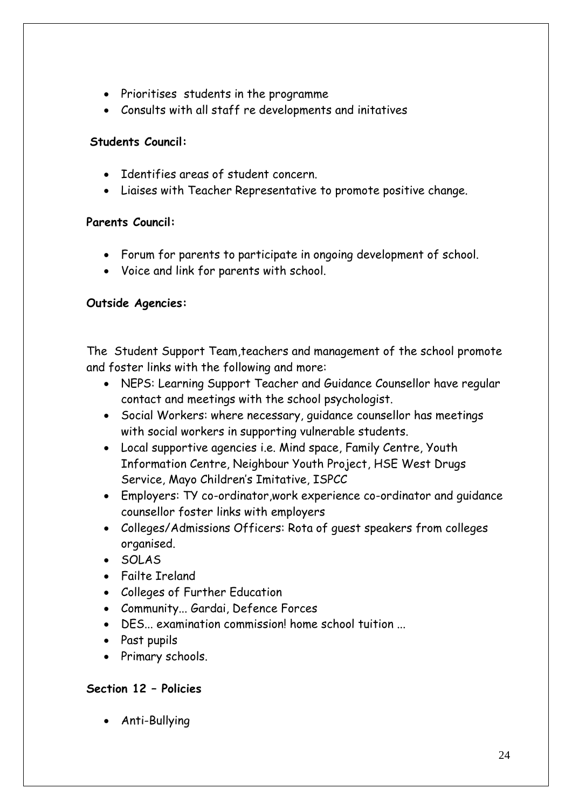- Prioritises students in the programme
- Consults with all staff re developments and initatives

## **Students Council:**

- Identifies areas of student concern.
- Liaises with Teacher Representative to promote positive change.

# **Parents Council:**

- Forum for parents to participate in ongoing development of school.
- Voice and link for parents with school.

# **Outside Agencies:**

The Student Support Team,teachers and management of the school promote and foster links with the following and more:

- NEPS: Learning Support Teacher and Guidance Counsellor have regular contact and meetings with the school psychologist.
- Social Workers: where necessary, guidance counsellor has meetings with social workers in supporting vulnerable students.
- Local supportive agencies i.e. Mind space, Family Centre, Youth Information Centre, Neighbour Youth Project, HSE West Drugs Service, Mayo Children's Imitative, ISPCC
- Employers: TY co-ordinator,work experience co-ordinator and guidance counsellor foster links with employers
- Colleges/Admissions Officers: Rota of guest speakers from colleges organised.
- SOLAS
- Failte Ireland
- Colleges of Further Education
- Community... Gardai, Defence Forces
- DES... examination commission! home school tuition ...
- Past pupils
- Primary schools.

## **Section 12 – Policies**

Anti-Bullying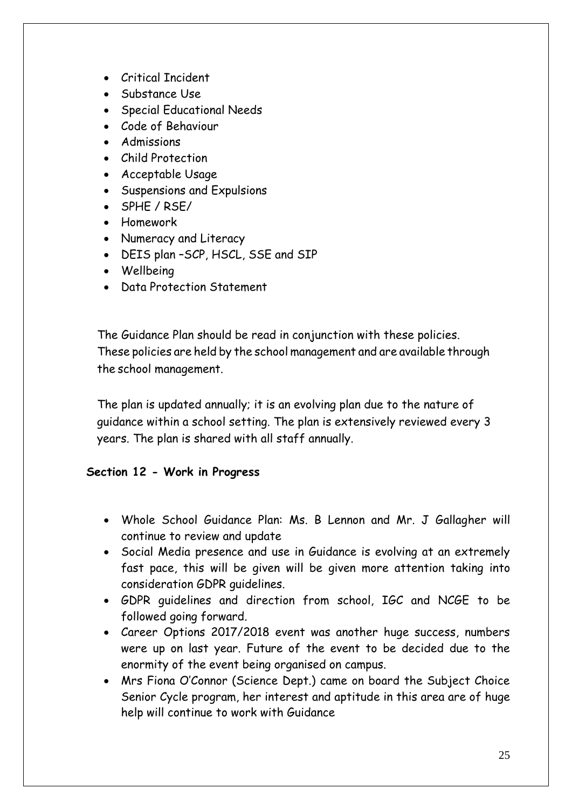- Critical Incident
- Substance Use
- **•** Special Educational Needs
- Code of Behaviour
- Admissions
- Child Protection
- Acceptable Usage
- Suspensions and Expulsions
- SPHE / RSE/
- Homework
- Numeracy and Literacy
- DEIS plan –SCP, HSCL, SSE and SIP
- Wellbeing
- Data Protection Statement

The Guidance Plan should be read in conjunction with these policies. These policies are held by the school management and are available through the school management.

The plan is updated annually; it is an evolving plan due to the nature of guidance within a school setting. The plan is extensively reviewed every 3 years. The plan is shared with all staff annually.

## **Section 12 - Work in Progress**

- Whole School Guidance Plan: Ms. B Lennon and Mr. J Gallagher will continue to review and update
- Social Media presence and use in Guidance is evolving at an extremely fast pace, this will be given will be given more attention taking into consideration GDPR guidelines.
- GDPR guidelines and direction from school, IGC and NCGE to be followed going forward.
- Career Options 2017/2018 event was another huge success, numbers were up on last year. Future of the event to be decided due to the enormity of the event being organised on campus.
- Mrs Fiona O'Connor (Science Dept.) came on board the Subject Choice Senior Cycle program, her interest and aptitude in this area are of huge help will continue to work with Guidance